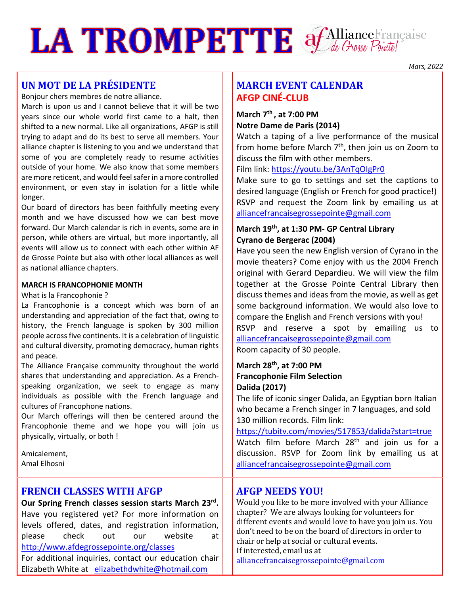# LA TROMPETTE of Alliance Française

## **UN MOT DE LA PRÉSIDENTE**

Bonjour chers membres de notre alliance.

March is upon us and I cannot believe that it will be two years since our whole world first came to a halt, then shifted to a new normal. Like all organizations, AFGP is still trying to adapt and do its best to serve all members. Your alliance chapter is listening to you and we understand that some of you are completely ready to resume activities outside of your home. We also know that some members are more reticent, and would feel safer in a more controlled environment, or even stay in isolation for a little while longer.

Our board of directors has been faithfully meeting every month and we have discussed how we can best move forward. Our March calendar is rich in events, some are in person, while others are virtual, but more inportantly, all events will allow us to connect with each other within AF de Grosse Pointe but also with other local alliances as well as national alliance chapters.

#### **MARCH IS FRANCOPHONIE MONTH**

#### What is la Francophonie ?

La Francophonie is a concept which was born of an understanding and appreciation of the fact that, owing to history, the French language is spoken by 300 million people across five continents. It is a celebration of linguistic and cultural diversity, promoting democracy, human rights and peace.

The Alliance Française community throughout the world shares that understanding and appreciation. As a Frenchspeaking organization, we seek to engage as many individuals as possible with the French language and cultures of Francophone nations.

Our March offerings will then be centered around the Francophonie theme and we hope you will join us physically, virtually, or both !

Amicalement, Amal Elhosni

#### **FRENCH CLASSES WITH AFGP**

**Our Spring French classes session starts March 23rd.**  Have you registered yet? For more information on levels offered, dates, and registration information, please check out our website at http://www.afdegrossepointe.org/classes For additional inquiries, contact our education chair Elizabeth White at elizabethdwhite@hotmail.com

## **MARCH EVENT CALENDAR AFGP CINÉ-CLUB**

#### **March 7th , at 7:00 PM Notre Dame de Paris (2014)**

Watch a taping of a live performance of the musical from home before March  $7<sup>th</sup>$ , then join us on Zoom to discuss the film with other members.

Film link: https://youtu.be/3AnTqOIgPr0

Make sure to go to settings and set the captions to desired language (English or French for good practice!) RSVP and request the Zoom link by emailing us at alliancefrancaisegrossepointe@gmail.com

#### **March 19th, at 1:30 PM- GP Central Library Cyrano de Bergerac (2004)**

Have you seen the new English version of Cyrano in the movie theaters? Come enjoy with us the 2004 French original with Gerard Depardieu. We will view the film together at the Grosse Pointe Central Library then discuss themes and ideas from the movie, as well as get some background information. We would also love to compare the English and French versions with you! RSVP and reserve a spot by emailing us to alliancefrancaisegrossepointe@gmail.com Room capacity of 30 people.

#### **March 28th, at 7:00 PM Francophonie Film Selection Dalida (2017)**

The life of iconic singer Dalida, an Egyptian born Italian who became a French singer in 7 languages, and sold 130 million records. Film link:

https://tubitv.com/movies/517853/dalida?start=true Watch film before March 28<sup>th</sup> and join us for a discussion. RSVP for Zoom link by emailing us at alliancefrancaisegrossepointe@gmail.com

### **AFGP NEEDS YOU!**

Would you like to be more involved with your Alliance chapter? We are always looking for volunteers for different events and would love to have you join us. You don't need to be on the board of directors in order to chair or help at social or cultural events. If interested, email us at

alliancefrancaisegrossepointe@gmail.com

*Mars, 2022*